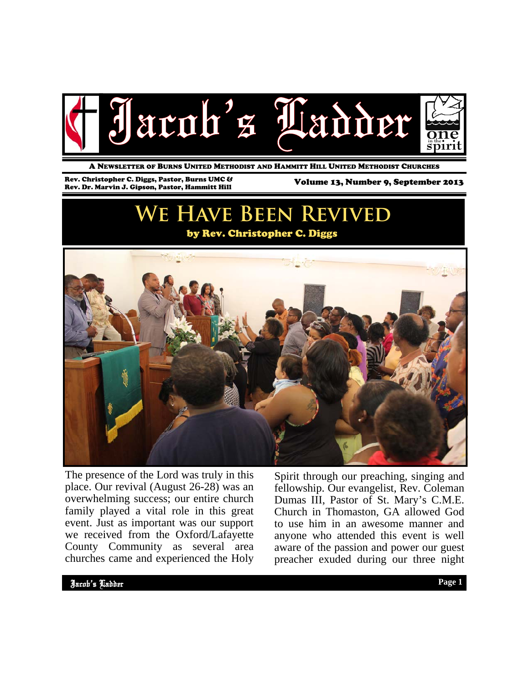

A NEWSLETTER OF BURNS UNITED METHODIST AND HAMMITT HILL UNITED METHODIST CHURCHES

Rev. Christopher C. Diggs, Pastor, Burns UMC & Rev. Christopher C. Diggs, Pastor, Burns UMC & Volume 13, Number 9, September 2013<br>Rev. Dr. Marvin J. Gipson, Pastor, Hammitt Hill Van Hill Volume 13, Number 9, September 2013

# **We Have Been Revived**

### by Rev. Christopher C. Diggs



The presence of the Lord was truly in this place. Our revival (August 26-28) was an overwhelming success; our entire church family played a vital role in this great event. Just as important was our support we received from the Oxford/Lafayette County Community as several area churches came and experienced the Holy

Spirit through our preaching, singing and fellowship. Our evangelist, Rev. Coleman Dumas III, Pastor of St. Mary's C.M.E. Church in Thomaston, GA allowed God to use him in an awesome manner and anyone who attended this event is well aware of the passion and power our guest preacher exuded during our three night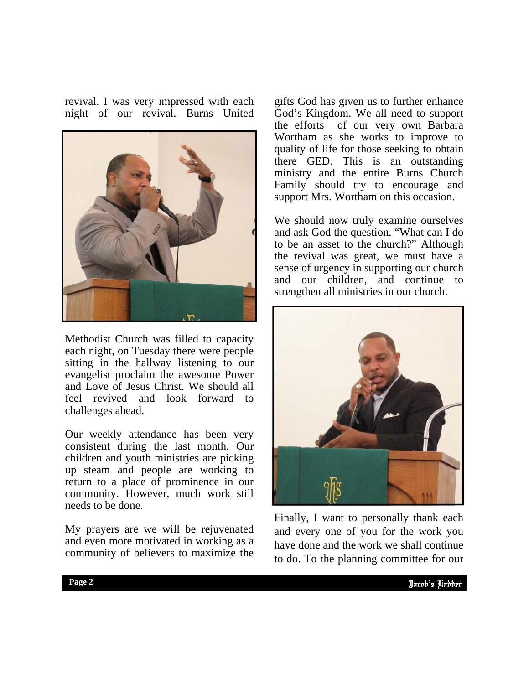revival. I was very impressed with each night of our revival. Burns United



Methodist Church was filled to capacity each night, on Tuesday there were people sitting in the hallway listening to our evangelist proclaim the awesome Power and Love of Jesus Christ. We should all feel revived and look forward to challenges ahead.

Our weekly attendance has been very consistent during the last month. Our children and youth ministries are picking up steam and people are working to return to a place of prominence in our community. However, much work still needs to be done.

My prayers are we will be rejuvenated and even more motivated in working as a community of believers to maximize the

gifts God has given us to further enhance God's Kingdom. We all need to support the efforts of our very own Barbara Wortham as she works to improve to quality of life for those seeking to obtain there GED. This is an outstanding ministry and the entire Burns Church Family should try to encourage and support Mrs. Wortham on this occasion.

We should now truly examine ourselves and ask God the question. "What can I do to be an asset to the church?" Although the revival was great, we must have a sense of urgency in supporting our church and our children, and continue to strengthen all ministries in our church.



and every one of you for the work you Finally, I want to personally thank each have done and the work we shall continue to do. To the planning committee for our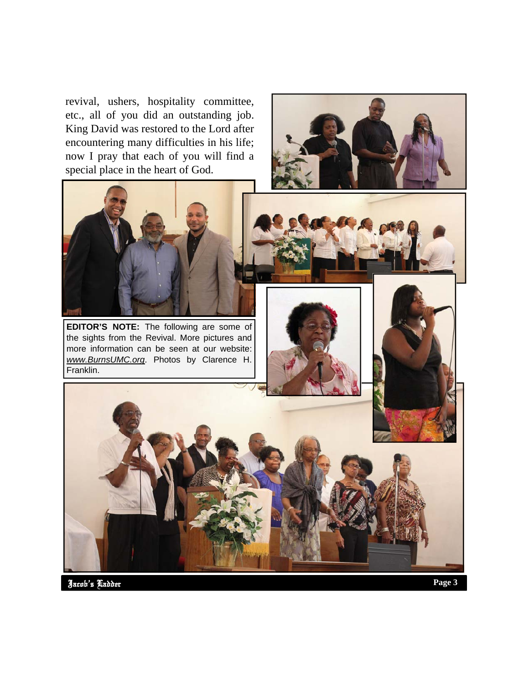revival, ushers, hospitality committee, etc., all of you did an outstanding job. King David was restored to the Lord after encountering many difficulties in his life; now I pray that each of you will find a special place in the heart of God.





**EDITOR'S NOTE:** The following are some of the sights from the Revival. More pictures and more information can be seen at our website: *www.BurnsUMC.org*. Photos by Clarence H. Franklin.